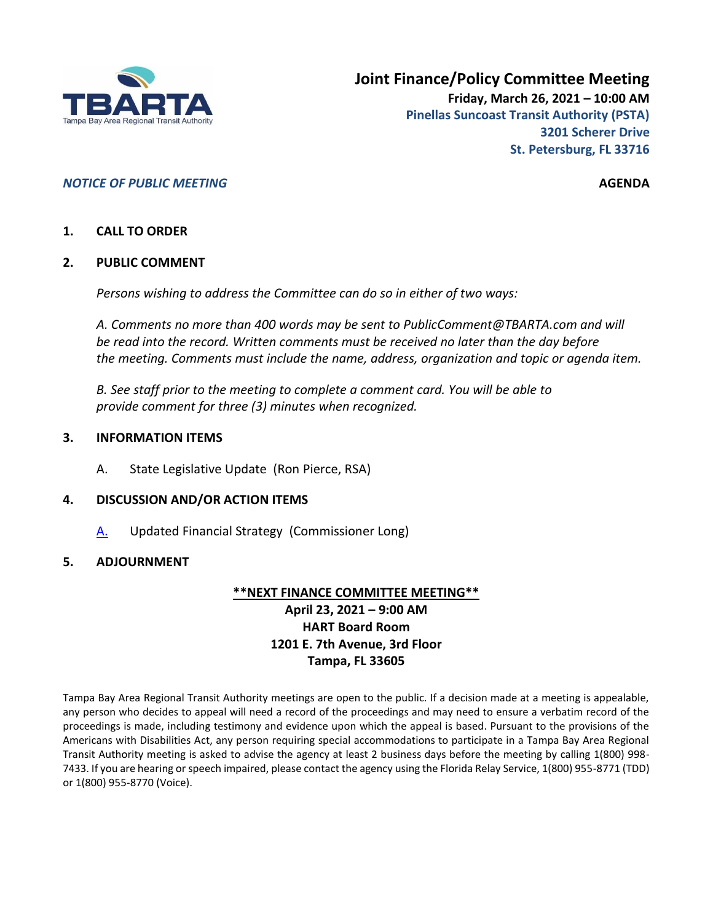

## *NOTICE OF PUBLIC MEETING* **AGENDA**

## **1. CALL TO ORDER**

#### **2. PUBLIC COMMENT**

*Persons wishing to address the Committee can do so in either of two ways:*

*A. Comments no more than 400 words may be sent to PublicComment@TBARTA.com and will be read into the record. Written comments must be received no later than the day before the meeting. Comments must include the name, address, organization and topic or agenda item.*

*B. See staff prior to the meeting to complete a comment card. You will be able to provide comment for three (3) minutes when recognized.*

#### **3. INFORMATION ITEMS**

A. State Legislative Update (Ron Pierce, RSA)

## **4. DISCUSSION AND/OR ACTION ITEMS**

[A.](#page-1-0) Updated Financial Strategy (Commissioner Long)

## **5. ADJOURNMENT**

#### **\*\*NEXT FINANCE COMMITTEE MEETING\*\***

# **April 23, 2021 – 9:00 AM HART Board Room 1201 E. 7th Avenue, 3rd Floor Tampa, FL 33605**

Tampa Bay Area Regional Transit Authority meetings are open to the public. If a decision made at a meeting is appealable, any person who decides to appeal will need a record of the proceedings and may need to ensure a verbatim record of the proceedings is made, including testimony and evidence upon which the appeal is based. Pursuant to the provisions of the Americans with Disabilities Act, any person requiring special accommodations to participate in a Tampa Bay Area Regional Transit Authority meeting is asked to advise the agency at least 2 business days before the meeting by calling 1(800) 998- 7433. If you are hearing or speech impaired, please contact the agency using the Florida Relay Service, 1(800) 955-8771 (TDD) or 1(800) 955-8770 (Voice).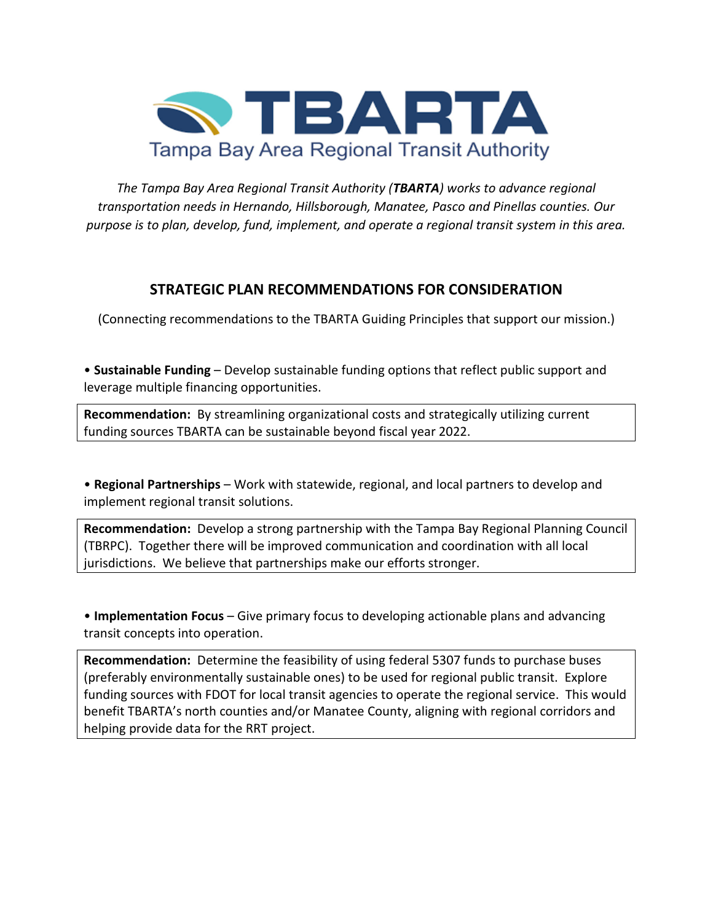<span id="page-1-0"></span>

*The Tampa Bay Area Regional Transit Authority (TBARTA) works to advance regional transportation needs in Hernando, Hillsborough, Manatee, Pasco and Pinellas counties. Our purpose is to plan, develop, fund, implement, and operate a regional transit system in this area.*

# **STRATEGIC PLAN RECOMMENDATIONS FOR CONSIDERATION**

(Connecting recommendations to the TBARTA Guiding Principles that support our mission.)

• **Sustainable Funding** – Develop sustainable funding options that reflect public support and leverage multiple financing opportunities.

**Recommendation:** By streamlining organizational costs and strategically utilizing current funding sources TBARTA can be sustainable beyond fiscal year 2022.

• **Regional Partnerships** – Work with statewide, regional, and local partners to develop and implement regional transit solutions.

**Recommendation:** Develop a strong partnership with the Tampa Bay Regional Planning Council (TBRPC). Together there will be improved communication and coordination with all local jurisdictions. We believe that partnerships make our efforts stronger.

• **Implementation Focus** – Give primary focus to developing actionable plans and advancing transit concepts into operation.

**Recommendation:** Determine the feasibility of using federal 5307 funds to purchase buses (preferably environmentally sustainable ones) to be used for regional public transit. Explore funding sources with FDOT for local transit agencies to operate the regional service. This would benefit TBARTA's north counties and/or Manatee County, aligning with regional corridors and helping provide data for the RRT project.